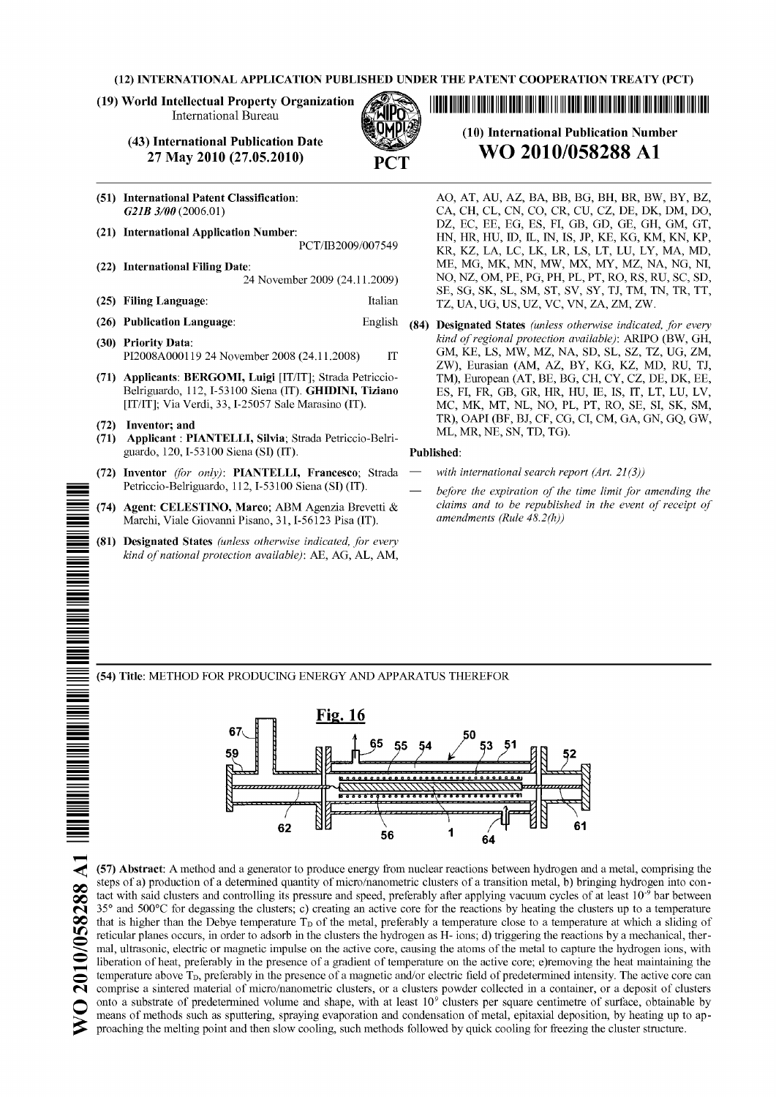## (12) INTERNATIONAL APPLICATION PUBLISHED UNDER THE PATENT COOPERATION TREATY (PCT)

### (19) World Intellectual Property Organization International Bureau

#### (43) International Publication Date 27 May **2010 (27.05.2010)**

- 
- (51) International Patent Classification: *G21B 3/00* (2006.01) (21) International Application Number: PCT/IB2009/007549 (22) International Filing Date: 24 November 2009 (24.11.2009) (25) Filing Language: Italian (26) Publication Language: English (30) Priority Data: PI2008A000119 24 November 2008 (24.11.2008) IT (71) Applicants: BERGOMI, Luigi [IT/IT]; Strada Petriccio-
- Belriguardo, 112, 1-53100 Siena (IT). GHIDINI, Tiziano [IT/IT]; Via Verdi, 33, 1-25057 Sale Marasino (IT).
- (72) Inventor; and<br>(71) Applicant : PI

**8288 Al** 

- (71) Applicant : PIANTELLI, Silvia; Strada Petriccio-Belriguardo, 120, 1-53100 Siena (SI) (IT).
- (72) Inventor *(for only)*: PIANTELLI, Francesco; Strada Petriccio-Belriguardo, 112, 1-53100 Siena (SI) (IT).
- \_ (74) Agent: CELESTINO, Marco; ABM Agenzia Brevetti & Marchi, Viale Giovanni Pisano, 31, 1-56123 Pisa (IT).
- (81) Designated States *(unless otherwise indicated, for every kind of national protection available):* AE, AG, AL, AM,

1111111111101101010111110101111100111111H101011111101110110111111 (10) International Publication Number

# **WO 2010/058288 A1**

- AO, AT, AU, AZ, BA, BB, BG, BH, BR, BW, BY, BZ, CA, CH, CL, CN, CO, CR, CU, CZ, DE, DK, DM, DO, DZ, EC, EE, EG, ES, FI, GB, GD, GE, GH, GM, GT, HN, HR, HU, ID, IL, IN, IS, JP, KE, KG, KM, KN, KP, KR, KZ, LA, LC, LK, LR, LS, LT, LU, LY, MA, MD, ME, MG, MK, MN, MW, MX, MY, MZ, NA, NG, NI, NO, NZ, OM, PE, PG, PH, PL, PT, RO, RS, RU, SC, SD, SE, SG, SK, SL, SM, ST, SV, SY, TJ, TM, TN, TR, TT, TZ, UA, UG, US, UZ, VC, VN, ZA, ZM, ZW.
- (84) Designated States *(unless otherwise indicated, for every kind of regional protection available):* ARIPO (BW, GH, GM, KE, LS, MW, MZ, NA, SD, SL, SZ, TZ, UG, ZM, ZW), Eurasian (AM, AZ, BY, KG, KZ, MD, RU, TJ, TM), European (AT, BE, BG, CH, CY, CZ, DE, DK, EE, ES, FI, FR, GB, GR, HR, HU, 1E, IS, IT, LT, LU, LV, MC, MK, MT, NL, NO, PL, PT, RO, SE, SI, SK, SM, TR), OAPI (BF, BJ, CF, CG, CI, CM, GA, GN, GQ, GW, ML, MR, NE, SN, TD, TG).

#### Published:

- *with international search report (Art. 21(3))*
- *before the expiration of the time limit for amending the claims and to be republished in the event of receipt of amendments (Rule 48.2(h))*

— (54) Title: METHOD FOR PRODUCING ENERGY AND APPARATUS THEREFOR



(57) Abstract: A method and a generator to produce energy from nuclear reactions between hydrogen and a metal, comprising the steps of a) production of a determined quantity of micro/nanometric clusters of a transition metal, b) bringing hydrogen into contact with said clusters and controlling its pressure and speed, preferably after applying vacuum cycles of at least 10<sup>-9</sup> bar between 35° and 500°C for degassing the clusters; c) creating an active core for the reactions by heating the clusters up to a temperature that is higher than the Debye temperature  $T<sub>D</sub>$  of the metal, preferably a temperature close to a temperature at which a sliding of reticular planes occurs, in order to adsorb in the clusters the hydrogen as H- ions; d) triggering the reactions by a mechanical, thermal, ultrasonic, electric or magnetic impulse on the active core, causing the atoms of the metal to capture the hydrogen ions, with liberation of heat, preferably in the presence of a gradient of temperature on the active core; e)removing the heat maintaining the temperature above T<sub>D</sub>, preferably in the presence of a magnetic and/or electric field of predetermined intensity. The active core can comprise a sintered material of micro/nanometric clusters, or a clusters powder collected in a container, or a deposit of clusters onto a substrate of predetermined volume and shape, with at least  $10<sup>9</sup>$  clusters per square centimetre of surface, obtainable by means of methods such as sputtering, spraying evaporation and condensation of metal, e reticular planes occurs, in order to adsorb in the clusters the hydrogen as H- ions; d) triggering the reactions by a mechanical, thermal, ultrasonic, electric or magnetic impulse on the active core, causing the atoms of t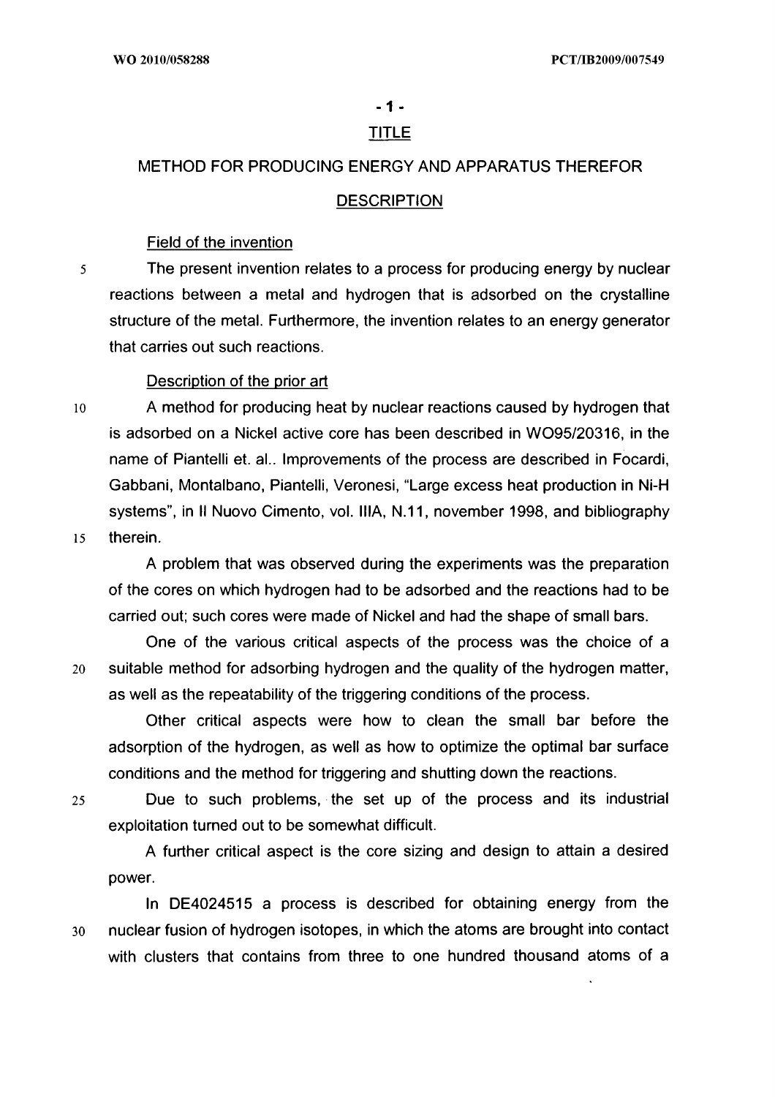# - 1 -

# TITLE

# METHOD FOR PRODUCING ENERGY AND APPARATUS THEREFOR

# **DESCRIPTION**

# Field of the invention

5 The present invention relates to a process for producing energy by nuclear reactions between a metal and hydrogen that is adsorbed on the crystalline structure of the metal. Furthermore, the invention relates to an energy generator that carries out such reactions.

# Description of the prior art

10 A method for producing heat by nuclear reactions caused by hydrogen that is adsorbed on a Nickel active core has been described in W095/20316, in the name of Piantelli et. al.. Improvements of the process are described in Focardi, Gabbani, Montalbano, Piantelli, Veronesi, "Large excess heat production in Ni-H systems", in II Nuovo Cimento, vol. IIIA, N.11, november 1998, and bibliography 15 therein.

A problem that was observed during the experiments was the preparation of the cores on which hydrogen had to be adsorbed and the reactions had to be carried out; such cores were made of Nickel and had the shape of small bars.

One of the various critical aspects of the process was the choice of a 20 suitable method for adsorbing hydrogen and the quality of the hydrogen matter, as well as the repeatability of the triggering conditions of the process.

Other critical aspects were how to clean the small bar before the adsorption of the hydrogen, as well as how to optimize the optimal bar surface conditions and the method for triggering and shutting down the reactions.

25 Due to such problems, the set up of the process and its industrial exploitation turned out to be somewhat difficult.

A further critical aspect is the core sizing and design to attain a desired power.

In DE4024515 a process is described for obtaining energy from the 30 nuclear fusion of hydrogen isotopes, in which the atoms are brought into contact with clusters that contains from three to one hundred thousand atoms of a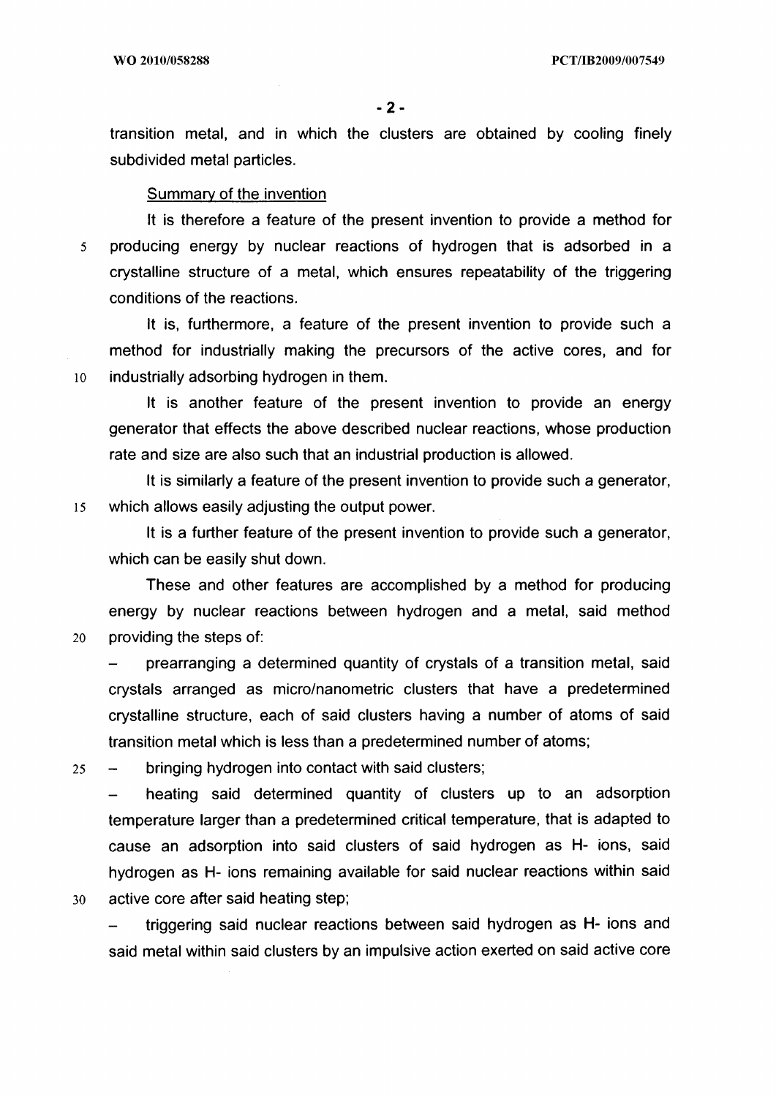transition metal, and in which the clusters are obtained by cooling finely subdivided metal particles.

### Summary of the invention

It is therefore a feature of the present invention to provide a method for 5 producing energy by nuclear reactions of hydrogen that is adsorbed in a crystalline structure of a metal, which ensures repeatability of the triggering conditions of the reactions.

It is, furthermore, a feature of the present invention to provide such a method for industrially making the precursors of the active cores, and for 10 industrially adsorbing hydrogen in them.

It is another feature of the present invention to provide an energy generator that effects the above described nuclear reactions, whose production rate and size are also such that an industrial production is allowed.

It is similarly a feature of the present invention to provide such a generator, is which allows easily adjusting the output power.

It is a further feature of the present invention to provide such a generator, which can be easily shut down.

These and other features are accomplished by a method for producing energy by nuclear reactions between hydrogen and a metal, said method 20 providing the steps of:

prearranging a determined quantity of crystals of a transition metal, said crystals arranged as micro/nanometric clusters that have a predetermined crystalline structure, each of said clusters having a number of atoms of said transition metal which is less than a predetermined number of atoms;

25 — bringing hydrogen into contact with said clusters;

heating said determined quantity of clusters up to an adsorption temperature larger than a predetermined critical temperature, that is adapted to cause an adsorption into said clusters of said hydrogen as **H-** ions, said hydrogen as **H-** ions remaining available for said nuclear reactions within said 30 active core after said heating step;

— triggering said nuclear reactions between said hydrogen as **H-** ions and said metal within said clusters by an impulsive action exerted on said active core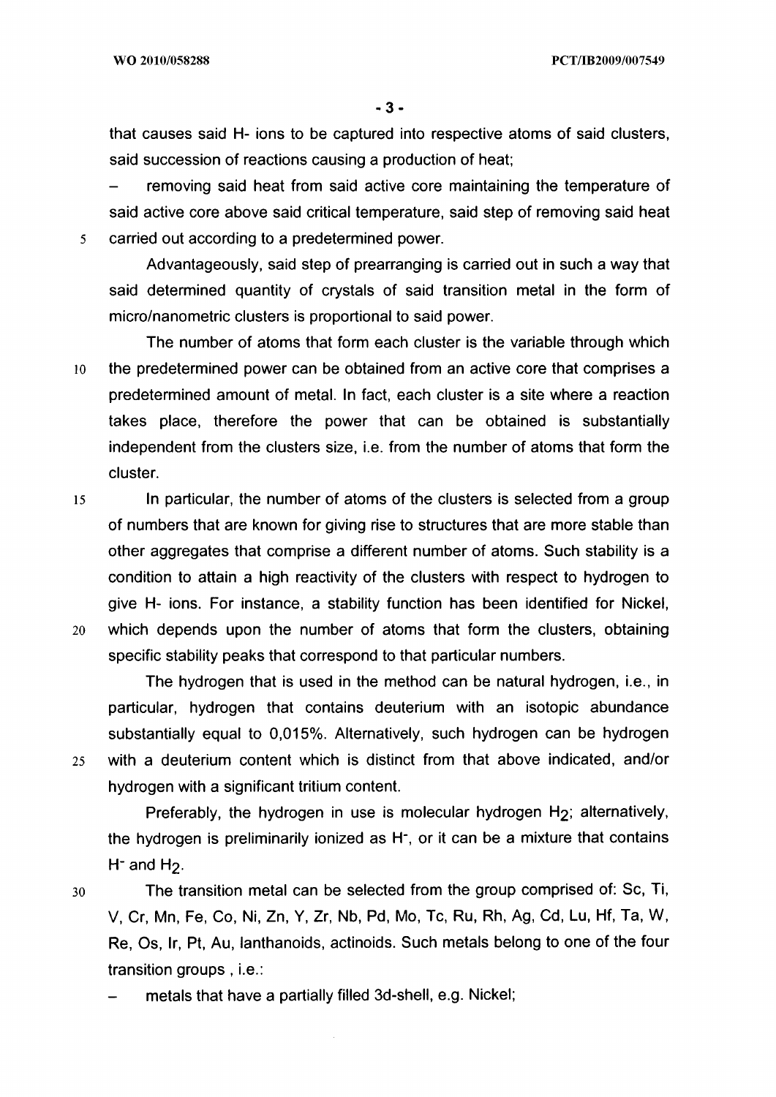that causes said H- ions to be captured into respective atoms of said clusters, said succession of reactions causing a production of heat;

removing said heat from said active core maintaining the temperature of said active core above said critical temperature, said step of removing said heat 5 carried out according to a predetermined power.

Advantageously, said step of prearranging is carried out in such a way that said determined quantity of crystals of said transition metal in the form of micro/nanometric clusters is proportional to said power.

The number of atoms that form each cluster is the variable through which 10 the predetermined power can be obtained from an active core that comprises a predetermined amount of metal. In fact, each cluster is a site where a reaction takes place, therefore the power that can be obtained is substantially independent from the clusters size, i.e. from the number of atoms that form the cluster.

15 In particular, the number of atoms of the clusters is selected from a group of numbers that are known for giving rise to structures that are more stable than other aggregates that comprise a different number of atoms. Such stability is a condition to attain a high reactivity of the clusters with respect to hydrogen to give H- ions. For instance, a stability function has been identified for Nickel, 20 which depends upon the number of atoms that form the clusters, obtaining specific stability peaks that correspond to that particular numbers.

The hydrogen that is used in the method can be natural hydrogen, i.e., in particular, hydrogen that contains deuterium with an isotopic abundance substantially equal to 0,015%. Alternatively, such hydrogen can be hydrogen 25 with a deuterium content which is distinct from that above indicated, and/or hydrogen with a significant tritium content.

Preferably, the hydrogen in use is molecular hydrogen H<sub>2</sub>; alternatively, the hydrogen is preliminarily ionized as H-, or it can be a mixture that contains  $H^-$  and  $H_2$ .

30 The transition metal can be selected from the group comprised of: Sc, Ti, V, Cr, Mn, Fe, Co, Ni, Zn, Y, Zr, Nb, Pd, Mo, Tc, Ru, Rh, Ag, Cd, Lu, Hf, Ta, W, Re, Os, Ir, Pt, Au, lanthanoids, actinoids. Such metals belong to one of the four transition groups , i.e.:

metals that have a partially filled 3d-shell, e.g. Nickel;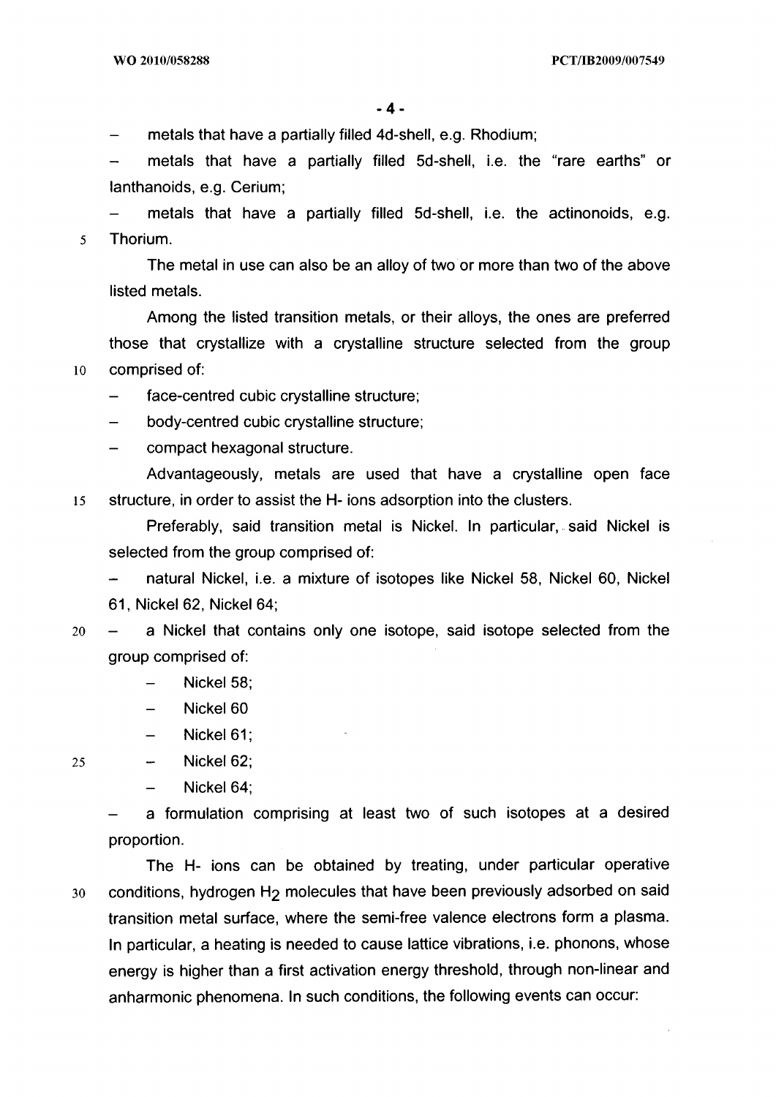— metals that have a partially filled 4d-shell, e.g. Rhodium;

metals that have a partially filled 5d-shell, i.e. the "rare earths" or lanthanoids, e.g. Cerium;

metals that have a partially filled 5d-shell, i.e. the actinonoids, e.g. 5 Thorium.

The metal in use can also be an alloy of two or more than two of the above listed metals.

Among the listed transition metals, or their alloys, the ones are preferred those that crystallize with a crystalline structure selected from the group 10 comprised of:

- face-centred cubic crystalline structure;
- body-centred cubic crystalline structure;
- compact hexagonal structure.

Advantageously, metals are used that have a crystalline open face is structure, in order to assist the **H-** ions adsorption into the clusters.

Preferably, said transition metal is Nickel. In particular, said Nickel is selected from the group comprised of:

— natural Nickel, i.e. a mixture of isotopes like Nickel 58, Nickel 60, Nickel 61, Nickel 62, Nickel 64;

- 20 a Nickel that contains only one isotope, said isotope selected from the group comprised of:
	- Nickel 58;
	- Nickel 60
	- Nickel 61;

Nickel 62; 25  $\overline{\phantom{a}}$ 

 $-$  Nickel 64;

a formulation comprising at least two of such isotopes at a desired proportion.

The **H-** ions can be obtained by treating, under particular operative 30 conditions, hydrogen **H2** molecules that have been previously adsorbed on said transition metal surface, where the semi-free valence electrons form a plasma. In particular, a heating is needed to cause lattice vibrations, i.e. phonons, whose energy is higher than a first activation energy threshold, through non-linear and anharmonic phenomena. In such conditions, the following events can occur: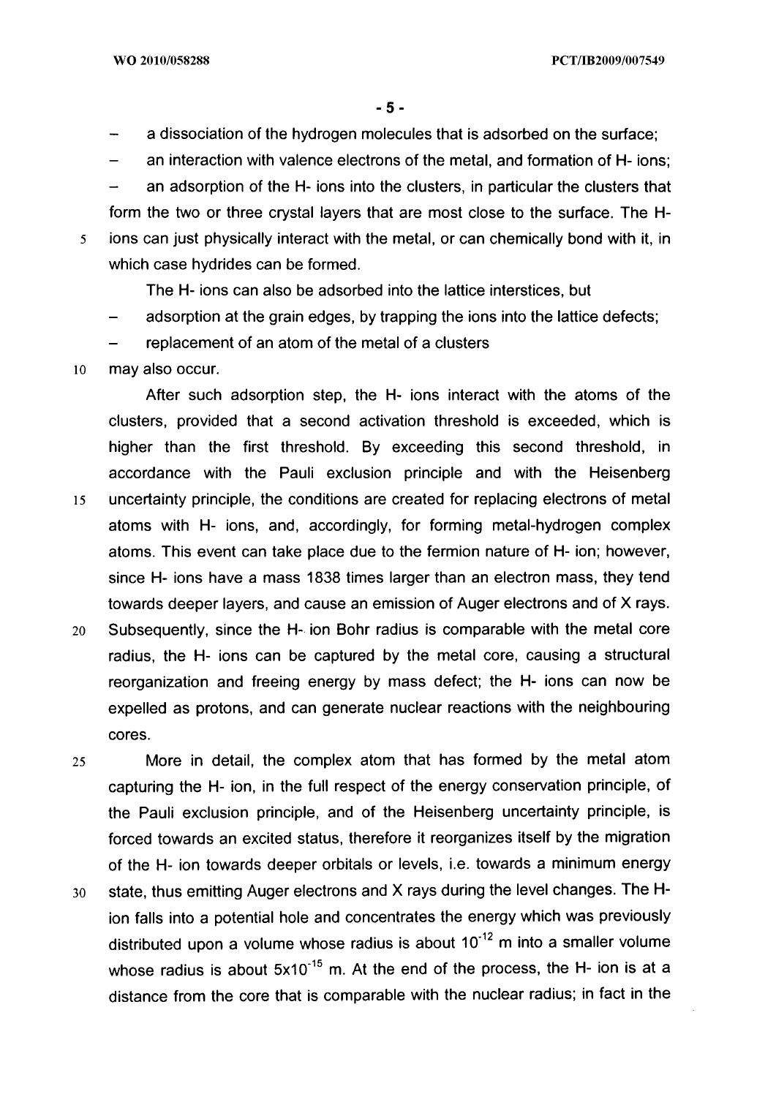- a dissociation of the hydrogen molecules that is adsorbed on the surface;
- an interaction with valence electrons of the metal, and formation of H- ions;

- an adsorption of the H- ions into the clusters, in particular the clusters that form the two or three crystal layers that are most close to the surface. The H-5 ions can just physically interact with the metal, or can chemically bond with it, in which case hydrides can be formed.

The H- ions can also be adsorbed into the lattice interstices, but

- adsorption at the grain edges, by trapping the ions into the lattice defects;
- replacement of an atom of the metal of a clusters
- io may also occur.

After such adsorption step, the H- ions interact with the atoms of the clusters, provided that a second activation threshold is exceeded, which is higher than the first threshold. By exceeding this second threshold, in accordance with the Pauli exclusion principle and with the Heisenberg 15 uncertainty principle, the conditions are created for replacing electrons of metal atoms with H- ions, and, accordingly, for forming metal-hydrogen complex atoms. This event can take place due to the fermion nature of H- ion; however, since H- ions have a mass 1838 times larger than an electron mass, they tend towards deeper layers, and cause an emission of Auger electrons and of X rays.

- 20 Subsequently, since the H- ion Bohr radius is comparable with the metal core radius, the H- ions can be captured by the metal core, causing a structural reorganization and freeing energy by mass defect; the H- ions can now be expelled as protons, and can generate nuclear reactions with the neighbouring cores.
- <sup>25</sup>More in detail, the complex atom that has formed by the metal atom capturing the H- ion, in the full respect of the energy conservation principle, of the Pauli exclusion principle, and of the Heisenberg uncertainty principle, is forced towards an excited status, therefore it reorganizes itself by the migration of the H- ion towards deeper orbitals or levels, i.e. towards a minimum energy 30 state, thus emitting Auger electrons and X rays during the level changes. The Hion falls into a potential hole and concentrates the energy which was previously distributed upon a volume whose radius is about  $10^{-12}$  m into a smaller volume whose radius is about  $5x10^{-15}$  m. At the end of the process, the H- ion is at a distance from the core that is comparable with the nuclear radius; in fact in the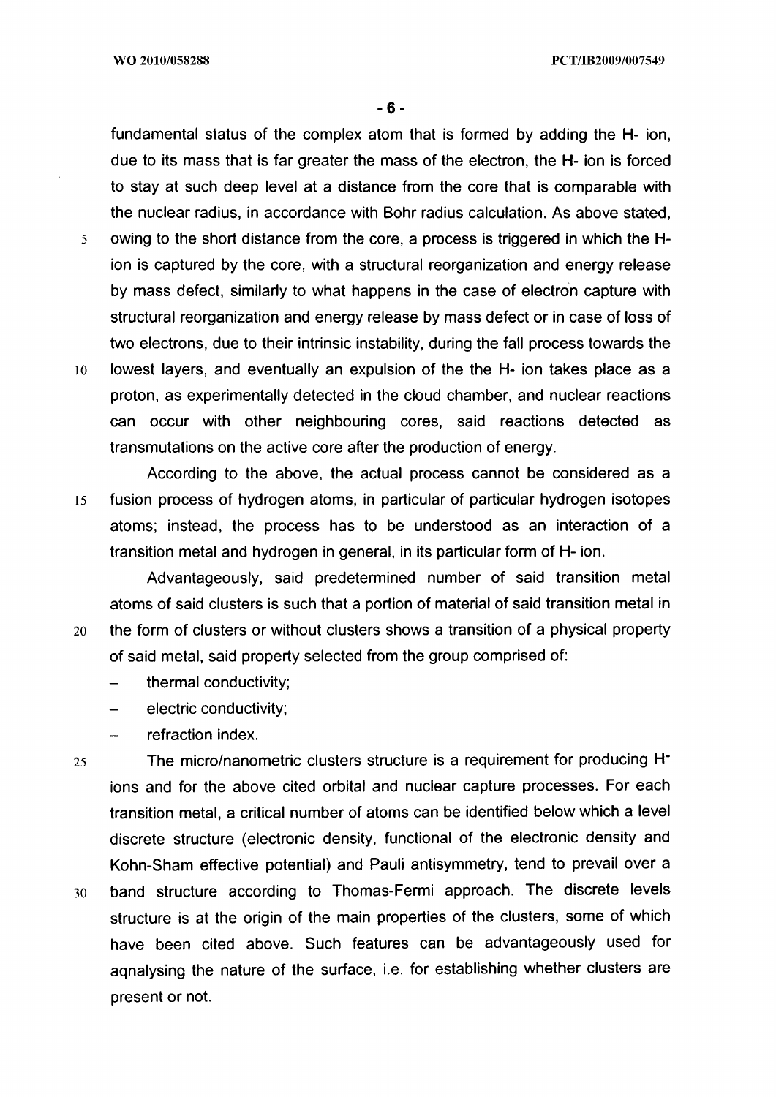fundamental status of the complex atom that is formed by adding the **H-** ion, due to its mass that is far greater the mass of the electron, the **H-** ion is forced to stay at such deep level at a distance from the core that is comparable with the nuclear radius, in accordance with Bohr radius calculation. As above stated, 5 owing to the short distance from the core, a process is triggered in which the **H**ion is captured by the core, with a structural reorganization and energy release by mass defect, similarly to what happens in the case of electron capture with

structural reorganization and energy release by mass defect or in case of loss of

two electrons, due to their intrinsic instability, during the fall process towards the 10 lowest layers, and eventually an expulsion of the the H- ion takes place as a proton, as experimentally detected in the cloud chamber, and nuclear reactions can occur with other neighbouring cores, said reactions detected as transmutations on the active core after the production of energy.

According to the above, the actual process cannot be considered as a 15 fusion process of hydrogen atoms, in particular of particular hydrogen isotopes atoms; instead, the process has to be understood as an interaction of a transition metal and hydrogen in general, in its particular form of **H-** ion.

Advantageously, said predetermined number of said transition metal atoms of said clusters is such that a portion of material of said transition metal in 20 the form of clusters or without clusters shows a transition of a physical property of said metal, said property selected from the group comprised of:

- thermal conductivity;
- electric conductivity;
- refraction index.

25 The micro/nanometric clusters structure is a requirement for producing **H**ions and for the above cited orbital and nuclear capture processes. For each transition metal, a critical number of atoms can be identified below which a level discrete structure (electronic density, functional of the electronic density and Kohn-Sham effective potential) and Pauli antisymmetry, tend to prevail over a <sup>30</sup>band structure according to Thomas-Fermi approach. The discrete levels structure is at the origin of the main properties of the clusters, some of which have been cited above. Such features can be advantageously used for aqnalysing the nature of the surface, i.e. for establishing whether clusters are present or not.